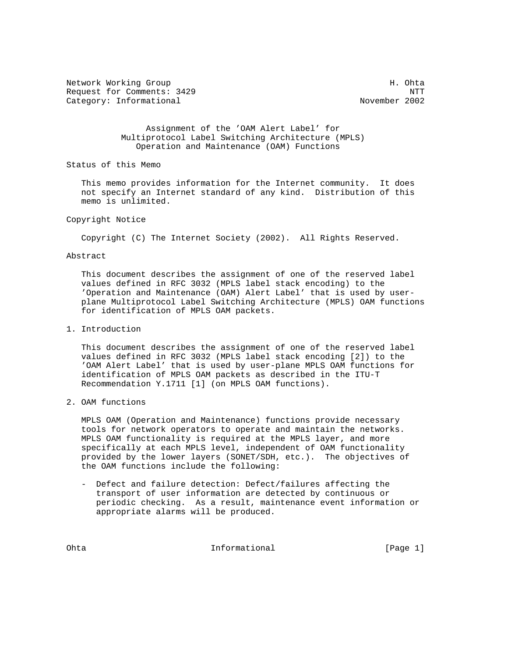Network Working Group Network Working Group H. Ohta Request for Comments: 3429 NTT Category: Informational

 Assignment of the 'OAM Alert Label' for Multiprotocol Label Switching Architecture (MPLS) Operation and Maintenance (OAM) Functions

Status of this Memo

 This memo provides information for the Internet community. It does not specify an Internet standard of any kind. Distribution of this memo is unlimited.

### Copyright Notice

Copyright (C) The Internet Society (2002). All Rights Reserved.

#### Abstract

 This document describes the assignment of one of the reserved label values defined in RFC 3032 (MPLS label stack encoding) to the 'Operation and Maintenance (OAM) Alert Label' that is used by user plane Multiprotocol Label Switching Architecture (MPLS) OAM functions for identification of MPLS OAM packets.

### 1. Introduction

 This document describes the assignment of one of the reserved label values defined in RFC 3032 (MPLS label stack encoding [2]) to the 'OAM Alert Label' that is used by user-plane MPLS OAM functions for identification of MPLS OAM packets as described in the ITU-T Recommendation Y.1711 [1] (on MPLS OAM functions).

## 2. OAM functions

 MPLS OAM (Operation and Maintenance) functions provide necessary tools for network operators to operate and maintain the networks. MPLS OAM functionality is required at the MPLS layer, and more specifically at each MPLS level, independent of OAM functionality provided by the lower layers (SONET/SDH, etc.). The objectives of the OAM functions include the following:

 - Defect and failure detection: Defect/failures affecting the transport of user information are detected by continuous or periodic checking. As a result, maintenance event information or appropriate alarms will be produced.

Ohta **Informational** Informational [Page 1]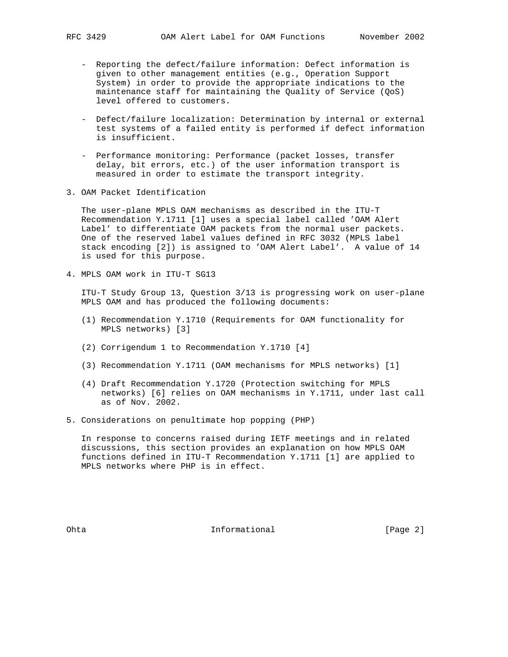- Reporting the defect/failure information: Defect information is given to other management entities (e.g., Operation Support System) in order to provide the appropriate indications to the maintenance staff for maintaining the Quality of Service (QoS) level offered to customers.
- Defect/failure localization: Determination by internal or external test systems of a failed entity is performed if defect information is insufficient.
- Performance monitoring: Performance (packet losses, transfer delay, bit errors, etc.) of the user information transport is measured in order to estimate the transport integrity.
- 3. OAM Packet Identification

 The user-plane MPLS OAM mechanisms as described in the ITU-T Recommendation Y.1711 [1] uses a special label called 'OAM Alert Label' to differentiate OAM packets from the normal user packets. One of the reserved label values defined in RFC 3032 (MPLS label stack encoding [2]) is assigned to 'OAM Alert Label'. A value of 14 is used for this purpose.

4. MPLS OAM work in ITU-T SG13

 ITU-T Study Group 13, Question 3/13 is progressing work on user-plane MPLS OAM and has produced the following documents:

- (1) Recommendation Y.1710 (Requirements for OAM functionality for MPLS networks) [3]
- (2) Corrigendum 1 to Recommendation Y.1710 [4]
- (3) Recommendation Y.1711 (OAM mechanisms for MPLS networks) [1]
- (4) Draft Recommendation Y.1720 (Protection switching for MPLS networks) [6] relies on OAM mechanisms in Y.1711, under last call as of Nov. 2002.
- 5. Considerations on penultimate hop popping (PHP)

 In response to concerns raised during IETF meetings and in related discussions, this section provides an explanation on how MPLS OAM functions defined in ITU-T Recommendation Y.1711 [1] are applied to MPLS networks where PHP is in effect.

Ohta **Informational** Informational [Page 2]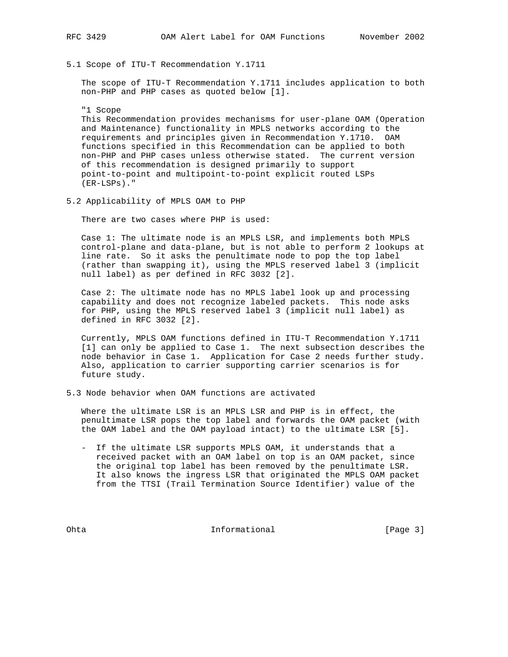5.1 Scope of ITU-T Recommendation Y.1711

 The scope of ITU-T Recommendation Y.1711 includes application to both non-PHP and PHP cases as quoted below [1].

"1 Scope

 This Recommendation provides mechanisms for user-plane OAM (Operation and Maintenance) functionality in MPLS networks according to the requirements and principles given in Recommendation Y.1710. OAM functions specified in this Recommendation can be applied to both non-PHP and PHP cases unless otherwise stated. The current version of this recommendation is designed primarily to support point-to-point and multipoint-to-point explicit routed LSPs (ER-LSPs)."

5.2 Applicability of MPLS OAM to PHP

There are two cases where PHP is used:

 Case 1: The ultimate node is an MPLS LSR, and implements both MPLS control-plane and data-plane, but is not able to perform 2 lookups at line rate. So it asks the penultimate node to pop the top label (rather than swapping it), using the MPLS reserved label 3 (implicit null label) as per defined in RFC 3032 [2].

 Case 2: The ultimate node has no MPLS label look up and processing capability and does not recognize labeled packets. This node asks for PHP, using the MPLS reserved label 3 (implicit null label) as defined in RFC 3032 [2].

 Currently, MPLS OAM functions defined in ITU-T Recommendation Y.1711 [1] can only be applied to Case 1. The next subsection describes the node behavior in Case 1. Application for Case 2 needs further study. Also, application to carrier supporting carrier scenarios is for future study.

5.3 Node behavior when OAM functions are activated

 Where the ultimate LSR is an MPLS LSR and PHP is in effect, the penultimate LSR pops the top label and forwards the OAM packet (with the OAM label and the OAM payload intact) to the ultimate LSR [5].

 - If the ultimate LSR supports MPLS OAM, it understands that a received packet with an OAM label on top is an OAM packet, since the original top label has been removed by the penultimate LSR. It also knows the ingress LSR that originated the MPLS OAM packet from the TTSI (Trail Termination Source Identifier) value of the

Ohta Informational [Page 3]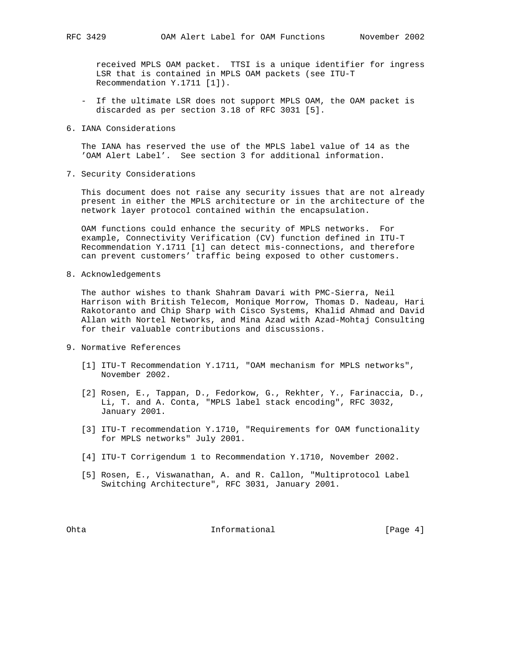received MPLS OAM packet. TTSI is a unique identifier for ingress LSR that is contained in MPLS OAM packets (see ITU-T Recommendation Y.1711 [1]).

- If the ultimate LSR does not support MPLS OAM, the OAM packet is discarded as per section 3.18 of RFC 3031 [5].
- 6. IANA Considerations

 The IANA has reserved the use of the MPLS label value of 14 as the 'OAM Alert Label'. See section 3 for additional information.

7. Security Considerations

 This document does not raise any security issues that are not already present in either the MPLS architecture or in the architecture of the network layer protocol contained within the encapsulation.

 OAM functions could enhance the security of MPLS networks. For example, Connectivity Verification (CV) function defined in ITU-T Recommendation Y.1711 [1] can detect mis-connections, and therefore can prevent customers' traffic being exposed to other customers.

8. Acknowledgements

 The author wishes to thank Shahram Davari with PMC-Sierra, Neil Harrison with British Telecom, Monique Morrow, Thomas D. Nadeau, Hari Rakotoranto and Chip Sharp with Cisco Systems, Khalid Ahmad and David Allan with Nortel Networks, and Mina Azad with Azad-Mohtaj Consulting for their valuable contributions and discussions.

- 9. Normative References
	- [1] ITU-T Recommendation Y.1711, "OAM mechanism for MPLS networks", November 2002.
	- [2] Rosen, E., Tappan, D., Fedorkow, G., Rekhter, Y., Farinaccia, D., Li, T. and A. Conta, "MPLS label stack encoding", RFC 3032, January 2001.
	- [3] ITU-T recommendation Y.1710, "Requirements for OAM functionality for MPLS networks" July 2001.
	- [4] ITU-T Corrigendum 1 to Recommendation Y.1710, November 2002.
	- [5] Rosen, E., Viswanathan, A. and R. Callon, "Multiprotocol Label Switching Architecture", RFC 3031, January 2001.

Ohta **Informational** Informational [Page 4]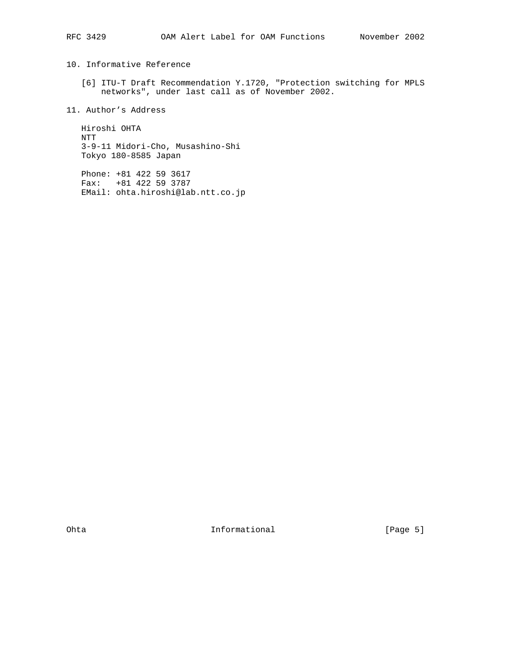10. Informative Reference

 [6] ITU-T Draft Recommendation Y.1720, "Protection switching for MPLS networks", under last call as of November 2002.

11. Author's Address

 Hiroshi OHTA NTT 3-9-11 Midori-Cho, Musashino-Shi Tokyo 180-8585 Japan

 Phone: +81 422 59 3617 Fax: +81 422 59 3787 EMail: ohta.hiroshi@lab.ntt.co.jp

Ohta **Informational** Informational [Page 5]